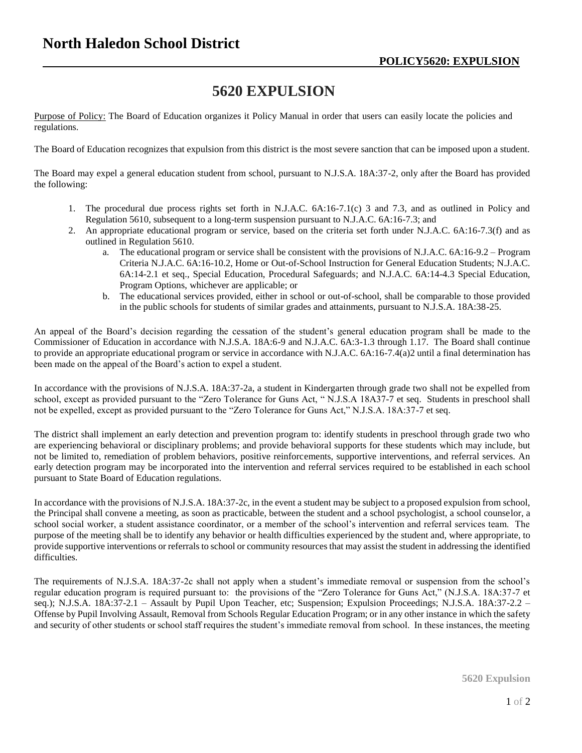## **5620 EXPULSION**

Purpose of Policy: The Board of Education organizes it Policy Manual in order that users can easily locate the policies and regulations.

The Board of Education recognizes that expulsion from this district is the most severe sanction that can be imposed upon a student.

The Board may expel a general education student from school, pursuant to N.J.S.A. 18A:37-2, only after the Board has provided the following:

- 1. The procedural due process rights set forth in N.J.A.C. 6A:16-7.1(c) 3 and 7.3, and as outlined in Policy and Regulation 5610, subsequent to a long-term suspension pursuant to N.J.A.C. 6A:16-7.3; and
- 2. An appropriate educational program or service, based on the criteria set forth under N.J.A.C. 6A:16-7.3(f) and as outlined in Regulation 5610.
	- a. The educational program or service shall be consistent with the provisions of N.J.A.C. 6A:16-9.2 Program Criteria N.J.A.C. 6A:16-10.2, Home or Out-of-School Instruction for General Education Students; N.J.A.C. 6A:14-2.1 et seq., Special Education, Procedural Safeguards; and N.J.A.C. 6A:14-4.3 Special Education, Program Options, whichever are applicable; or
	- b. The educational services provided, either in school or out-of-school, shall be comparable to those provided in the public schools for students of similar grades and attainments, pursuant to N.J.S.A. 18A:38-25.

An appeal of the Board's decision regarding the cessation of the student's general education program shall be made to the Commissioner of Education in accordance with N.J.S.A. 18A:6-9 and N.J.A.C. 6A:3-1.3 through 1.17. The Board shall continue to provide an appropriate educational program or service in accordance with N.J.A.C. 6A:16-7.4(a)2 until a final determination has been made on the appeal of the Board's action to expel a student.

In accordance with the provisions of N.J.S.A. 18A:37-2a, a student in Kindergarten through grade two shall not be expelled from school, except as provided pursuant to the "Zero Tolerance for Guns Act, " N.J.S.A 18A37-7 et seq. Students in preschool shall not be expelled, except as provided pursuant to the "Zero Tolerance for Guns Act," N.J.S.A. 18A:37-7 et seq.

The district shall implement an early detection and prevention program to: identify students in preschool through grade two who are experiencing behavioral or disciplinary problems; and provide behavioral supports for these students which may include, but not be limited to, remediation of problem behaviors, positive reinforcements, supportive interventions, and referral services. An early detection program may be incorporated into the intervention and referral services required to be established in each school pursuant to State Board of Education regulations.

In accordance with the provisions of N.J.S.A. 18A:37-2c, in the event a student may be subject to a proposed expulsion from school, the Principal shall convene a meeting, as soon as practicable, between the student and a school psychologist, a school counselor, a school social worker, a student assistance coordinator, or a member of the school's intervention and referral services team. The purpose of the meeting shall be to identify any behavior or health difficulties experienced by the student and, where appropriate, to provide supportive interventions or referrals to school or community resources that may assist the student in addressing the identified difficulties.

The requirements of N.J.S.A. 18A:37-2c shall not apply when a student's immediate removal or suspension from the school's regular education program is required pursuant to: the provisions of the "Zero Tolerance for Guns Act," (N.J.S.A. 18A:37-7 et seq.); N.J.S.A. 18A:37-2.1 – Assault by Pupil Upon Teacher, etc; Suspension; Expulsion Proceedings; N.J.S.A. 18A:37-2.2 – Offense by Pupil Involving Assault, Removal from Schools Regular Education Program; or in any other instance in which the safety and security of other students or school staff requires the student's immediate removal from school. In these instances, the meeting